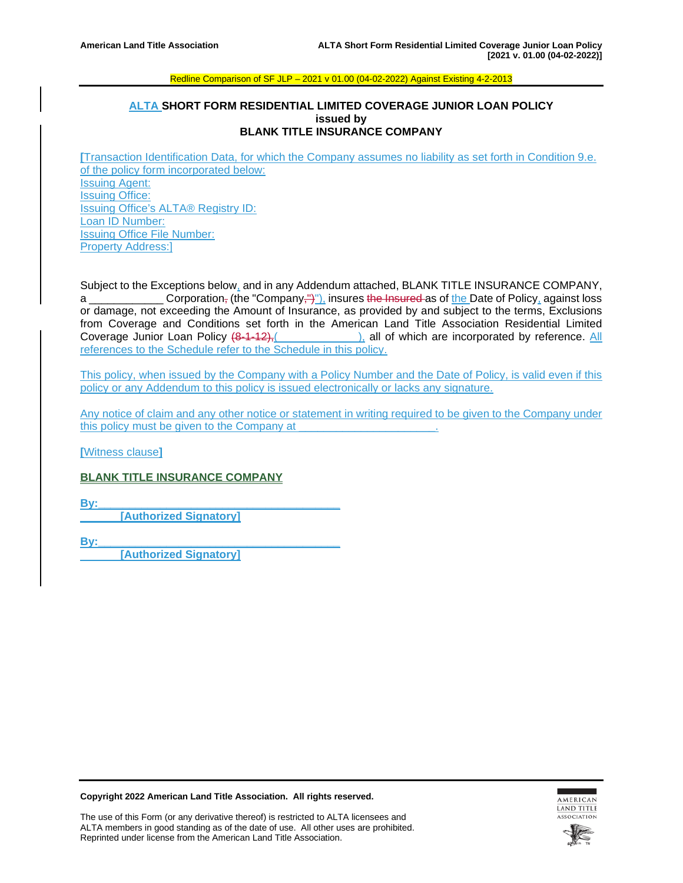# **ALTA SHORT FORM RESIDENTIAL LIMITED COVERAGE JUNIOR LOAN POLICY issued by BLANK TITLE INSURANCE COMPANY**

**[**Transaction Identification Data, for which the Company assumes no liability as set forth in Condition 9.e. of the policy form incorporated below: Issuing Agent: Issuing Office: Issuing Office's ALTA® Registry ID: Loan ID Number: Issuing Office File Number: Property Address:]

Subject to the Exceptions below, and in any Addendum attached, BLANK TITLE INSURANCE COMPANY, a \_\_\_\_\_\_\_\_\_\_\_\_ Corporation, (the "Company,")"), insures the Insured as of the Date of Policy, against loss or damage, not exceeding the Amount of Insurance, as provided by and subject to the terms, Exclusions from Coverage and Conditions set forth in the American Land Title Association Residential Limited Coverage Junior Loan Policy  $(8-1-12)$ ,  $(2.2-12)$ , all of which are incorporated by reference. All references to the Schedule refer to the Schedule in this policy.

This policy, when issued by the Company with a Policy Number and the Date of Policy, is valid even if this policy or any Addendum to this policy is issued electronically or lacks any signature.

Any notice of claim and any other notice or statement in writing required to be given to the Company under this policy must be given to the Company at

**[**Witness clause**]**

# **BLANK TITLE INSURANCE COMPANY**

**By:\_\_\_\_\_\_\_\_\_\_\_\_\_\_\_\_\_\_\_\_\_\_\_\_\_\_\_\_\_\_\_\_\_\_\_\_\_\_\_**

**[Authorized Signatory]**

**By:\_\_\_\_\_\_\_\_\_\_\_\_\_\_\_\_\_\_\_\_\_\_\_\_\_\_\_\_\_\_\_\_\_\_\_\_\_\_\_**

**[Authorized Signatory]**

**Copyright 2022 American Land Title Association. All rights reserved.**



The use of this Form (or any derivative thereof) is restricted to ALTA licensees and ALTA members in good standing as of the date of use. All other uses are prohibited. Reprinted under license from the American Land Title Association.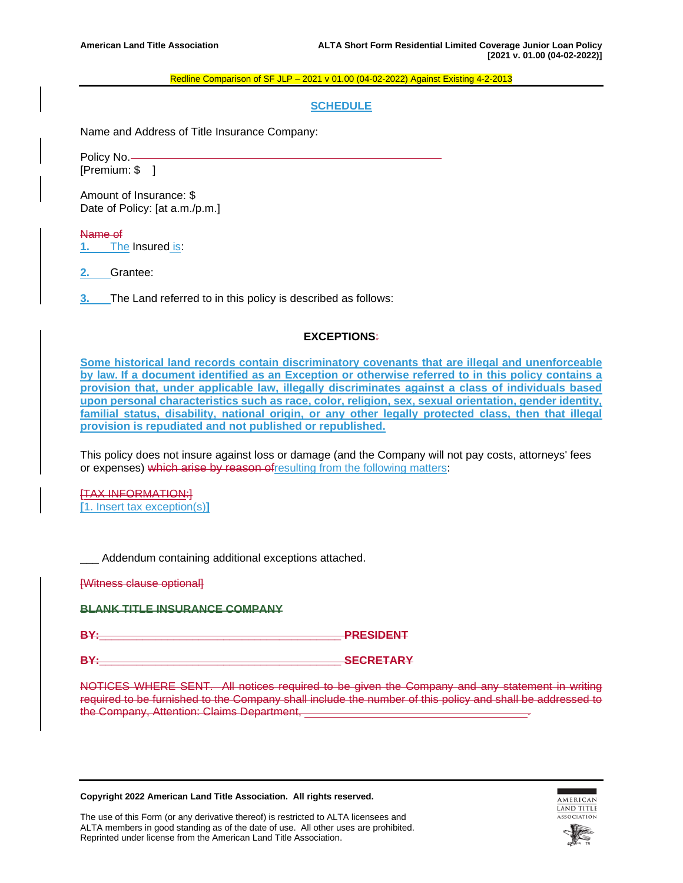# **SCHEDULE**

Name and Address of Title Insurance Company:

Policy No. [Premium: \$ ]

Amount of Insurance: \$ Date of Policy: [at a.m./p.m.]

Name of **1.** The Insured is:

**2.** Grantee:

**3.** The Land referred to in this policy is described as follows:

# **EXCEPTIONS**:

**Some historical land records contain discriminatory covenants that are illegal and unenforceable by law. If a document identified as an Exception or otherwise referred to in this policy contains a provision that, under applicable law, illegally discriminates against a class of individuals based upon personal characteristics such as race, color, religion, sex, sexual orientation, gender identity, familial status, disability, national origin, or any other legally protected class, then that illegal provision is repudiated and not published or republished.**

This policy does not insure against loss or damage (and the Company will not pay costs, attorneys' fees or expenses) which arise by reason ofresulting from the following matters:

[TAX INFORMATION:] **[**1. Insert tax exception(s)**]**

\_\_\_ Addendum containing additional exceptions attached.

[Witness clause optional]

**BLANK TITLE INSURANCE COMPANY**

**BY:\_\_\_\_\_\_\_\_\_\_\_\_\_\_\_\_\_\_\_\_\_\_\_\_\_\_\_\_\_\_\_\_\_\_\_\_\_\_\_ PRESIDENT**

**BY:\_\_\_\_\_\_\_\_\_\_\_\_\_\_\_\_\_\_\_\_\_\_\_\_\_\_\_\_\_\_\_\_\_\_\_\_\_\_\_ SECRETARY**

NOTICES WHERE SENT. All notices required to be given the Company and any statement in writing required to be furnished to the Company shall include the number of this policy and shall be addressed to the Company, Attention: Claims Department,

**Copyright 2022 American Land Title Association. All rights reserved.**



The use of this Form (or any derivative thereof) is restricted to ALTA licensees and ALTA members in good standing as of the date of use. All other uses are prohibited. Reprinted under license from the American Land Title Association.

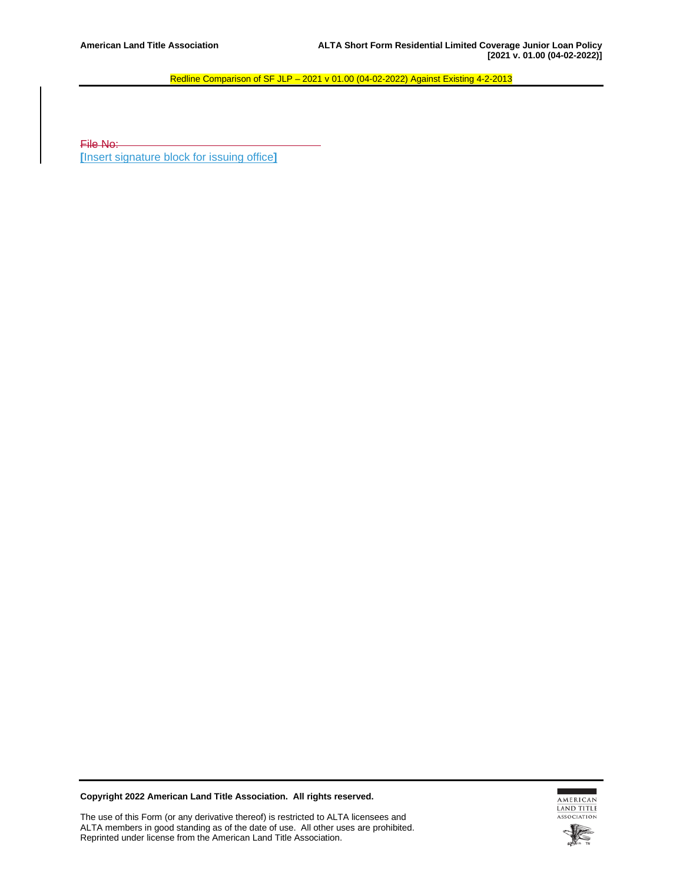File No: **[**Insert signature block for issuing office**]**

**Copyright 2022 American Land Title Association. All rights reserved.**

The use of this Form (or any derivative thereof) is restricted to ALTA licensees and ALTA members in good standing as of the date of use. All other uses are prohibited. Reprinted under license from the American Land Title Association.